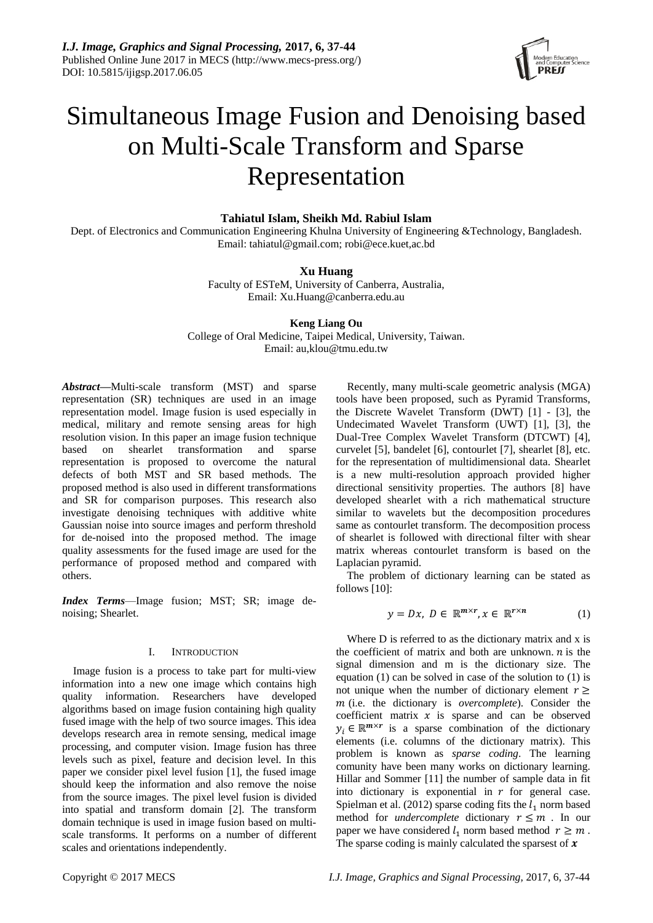*I.J. Image, Graphics and Signal Processing,* **2017, 6, 37-44** Published Online June 2017 in MECS (http://www.mecs-press.org/) DOI: 10.5815/ijigsp.2017.06.05



# Simultaneous Image Fusion and Denoising based on Multi-Scale Transform and Sparse Representation

# **Tahiatul Islam, Sheikh Md. Rabiul Islam**

Dept. of Electronics and Communication Engineering Khulna University of Engineering &Technology, Bangladesh. Email: tahiatul@gmail.com; robi@ece.kuet,ac.bd

# **Xu Huang**

Faculty of ESTeM, University of Canberra, Australia, Email: Xu.Huang@canberra.edu.au

**Keng Liang Ou** College of Oral Medicine, Taipei Medical, University, Taiwan. Email: au,klou@tmu.edu.tw

*Abstract***—**Multi-scale transform (MST) and sparse representation (SR) techniques are used in an image representation model. Image fusion is used especially in medical, military and remote sensing areas for high resolution vision. In this paper an image fusion technique based on shearlet transformation and sparse representation is proposed to overcome the natural defects of both MST and SR based methods. The proposed method is also used in different transformations and SR for comparison purposes. This research also investigate denoising techniques with additive white Gaussian noise into source images and perform threshold for de-noised into the proposed method. The image quality assessments for the fused image are used for the performance of proposed method and compared with others.

*Index Terms*—Image fusion; MST; SR; image denoising; Shearlet.

# I. INTRODUCTION

Image fusion is a process to take part for multi-view information into a new one image which contains high quality information. Researchers have developed algorithms based on image fusion containing high quality fused image with the help of two source images. This idea develops research area in remote sensing, medical image processing, and computer vision. Image fusion has three levels such as pixel, feature and decision level. In this paper we consider pixel level fusion [1], the fused image should keep the information and also remove the noise from the source images. The pixel level fusion is divided into spatial and transform domain [2]. The transform domain technique is used in image fusion based on multiscale transforms. It performs on a number of different scales and orientations independently.

Recently, many multi-scale geometric analysis (MGA) tools have been proposed, such as Pyramid Transforms, the Discrete Wavelet Transform (DWT) [1] - [3], the Undecimated Wavelet Transform (UWT) [1], [3], the Dual-Tree Complex Wavelet Transform (DTCWT) [4], curvelet [5], bandelet [6], contourlet [7], shearlet [8], etc. for the representation of multidimensional data. Shearlet is a new multi-resolution approach provided higher directional sensitivity properties. The authors [8] have developed shearlet with a rich mathematical structure similar to wavelets but the decomposition procedures same as contourlet transform. The decomposition process of shearlet is followed with directional filter with shear matrix whereas contourlet transform is based on the Laplacian pyramid.

The problem of dictionary learning can be stated as follows [10]:

$$
y = Dx, \ D \in \ \mathbb{R}^{m \times r}, x \in \ \mathbb{R}^{r \times n} \tag{1}
$$

Where D is referred to as the dictionary matrix and x is the coefficient of matrix and both are unknown.  $n$  is the signal dimension and m is the dictionary size. The equation (1) can be solved in case of the solution to (1) is not unique when the number of dictionary element  $r \geq$  (i.e. the dictionary is *overcomplete*). Consider the coefficient matrix  $x$  is sparse and can be observed  $y_i \in \mathbb{R}^{m \times r}$  is a sparse combination of the dictionary elements (i.e. columns of the dictionary matrix). This problem is known as *sparse coding*. The learning comunity have been many works on dictionary learning. Hillar and Sommer [11] the number of sample data in fit into dictionary is exponential in  $r$  for general case. Spielman et al. (2012) sparse coding fits the  $l_1$  norm based method for *undercomplete* dictionary  $r \leq m$ . In our paper we have considered  $l_1$  norm based method  $r \geq m$ . The sparse coding is mainly calculated the sparsest of  $x$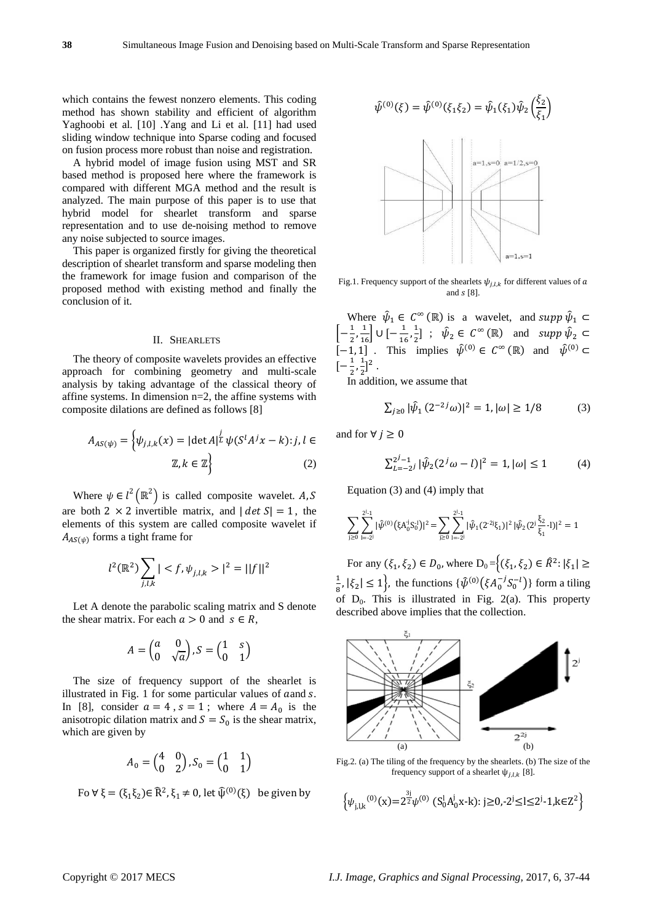which contains the fewest nonzero elements. This coding method has shown stability and efficient of algorithm Yaghoobi et al. [10] .Yang and Li et al. [11] had used sliding window technique into Sparse coding and focused on fusion process more robust than noise and registration.

A hybrid model of image fusion using MST and SR based method is proposed here where the framework is compared with different MGA method and the result is analyzed. The main purpose of this paper is to use that hybrid model for shearlet transform and sparse representation and to use de-noising method to remove any noise subjected to source images.

This paper is organized firstly for giving the theoretical description of shearlet transform and sparse modeling then the framework for image fusion and comparison of the proposed method with existing method and finally the conclusion of it.

#### II. SHEARLETS

The theory of composite wavelets provides an effective approach for combining geometry and multi-scale analysis by taking advantage of the classical theory of affine systems. In dimension n=2, the affine systems with composite dilations are defined as follows [8]

$$
A_{AS(\psi)} = \left\{ \psi_{j,l,k}(x) = |\det A|^{\frac{j}{L}} \psi(S^l A^j x - k) : j, l \in \mathbb{Z}, k \in \mathbb{Z} \right\}
$$
 (2)

Where  $\psi \in l^2(\mathbb{R}^2)$  is called composite wavelet. A, S are both 2  $\times$  2 invertible matrix, and  $|det S| = 1$ , the elements of this system are called composite wavelet if  $A_{AS(\psi)}$  forms a tight frame for

$$
l^2(\mathbb{R}^2) \sum_{j,l,k} | < f, \psi_{j,l,k} > |^2 = ||f||^2
$$

Let A denote the parabolic scaling matrix and S denote the shear matrix. For each  $a > 0$  and  $s \in R$ ,

$$
A = \begin{pmatrix} a & 0 \\ 0 & \sqrt{a} \end{pmatrix}, S = \begin{pmatrix} 1 & s \\ 0 & 1 \end{pmatrix}
$$

The size of frequency support of the shearlet is illustrated in Fig. 1 for some particular values of aand s. In [8], consider  $a = 4$ ,  $s = 1$ ; where  $A = A_0$  is the anisotropic dilation matrix and  $S = S_0$  is the shear matrix, which are given by

$$
A_0 = \begin{pmatrix} 4 & 0 \\ 0 & 2 \end{pmatrix}, S_0 = \begin{pmatrix} 1 & 1 \\ 0 & 1 \end{pmatrix}
$$

Fo  $\forall \xi = (\xi_1 \xi_2) \in \mathbb{R}^2$ ,  $\xi_1 \neq 0$ , let  $\widehat{\psi}^{(0)}(\xi)$  be given by



Fig.1. Frequency support of the shearlets  $\psi_{j,l,k}$  for different values of a and  $s$  [8].

Where  $\hat{\psi}_1 \in C^\infty(\mathbb{R})$  is a wavelet, and supp  $\hat{\psi}_1 \subset$  $\left[-\frac{1}{2}\right]$  $\frac{1}{2}, \frac{1}{16}$  U  $\left[-\frac{1}{16}\right]$  $\frac{1}{16}$ ,  $\frac{1}{2}$  $\frac{1}{2}$ ] ;  $\hat{\psi}_2 \in C^{\infty}(\mathbb{R})$  and  $supp \hat{\psi}_2 \subset$ [-1, 1] . This implies  $\hat{\psi}^{(0)} \in C^{\infty}(\mathbb{R})$  and  $\hat{\psi}^{(0)} \subset$  $\left[-\frac{1}{2}\right]$  $\frac{1}{2}$ ,  $\frac{1}{2}$  $\frac{1}{2}$ ]<sup>2</sup>.

In addition, we assume that

$$
\sum_{j\geq 0} |\hat{\psi}_1(2^{-2j}\omega)|^2 = 1, |\omega| \geq 1/8 \tag{3}
$$

and for  $∀ j ≥ 0$ 

$$
\sum_{L=-2j}^{2j-1} |\hat{\psi}_2(2^j \omega - l)|^2 = 1, |\omega| \le 1
$$
 (4)

Equation (3) and (4) imply that

$$
\sum_{j\geq 0}\sum_{l=-2^j}^{2^j\cdot 1}|\hat\psi^{(0)}\big(\xi A_0^jS_0^1\big)|^2=\sum_{j\geq 0}\sum_{l=-2^j}^{2^j\cdot 1}|\hat\psi_1(2^{2^j\xi_1})|^2\,|\hat\psi_2(2^j\frac{\xi_2}{\xi_1}\cdot l)|^2=1
$$

For any  $(\xi_1, \xi_2) \in D_0$ , where  $D_0 = \{(\xi_1, \xi_2) \in \hat{R}^2 : |\xi_1| \geq \}$ 1  $\frac{1}{8}$ ,  $|\xi_2| \le 1$ , the functions  $\{\hat{\psi}^{(0)}(\xi A_0^{-j} S_0^{-l})\}$  form a tiling of  $D_0$ . This is illustrated in Fig. 2(a). This property described above implies that the collection.



Fig.2. (a) The tiling of the frequency by the shearlets. (b) The size of the frequency support of a shearlet  $\psi_{j,l,k}$  [8].

$$
\left\{\psi_{j,l,k}^{(0)}(x) = 2^{\frac{3j}{2}}\psi^{(0)}\left(S_0^lA_0^jx-k\right): j \ge 0, -2^j \le l \le 2^j-1, k \in \mathbb{Z}^2\right\}
$$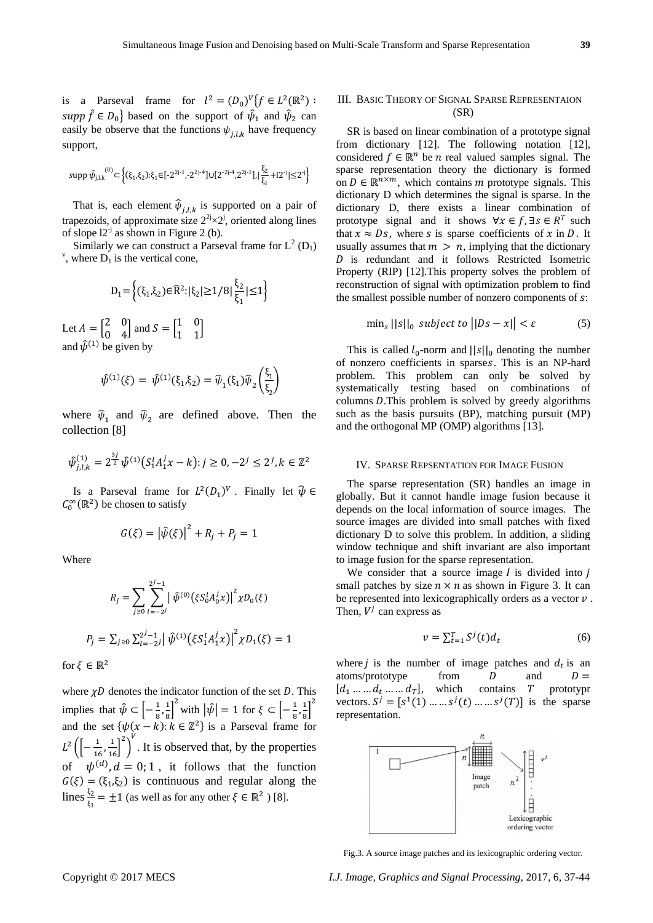is a Parseval frame for  $l^2 = (D_0)^V \{f \in L^2(\mathbb{R}^2) :$ supp  $\hat{f} \in D_0$  based on the support of  $\hat{\psi}_1$  and  $\hat{\psi}_2$  can easily be observe that the functions  $\psi_{j,l,k}$  have frequency support,

$$
\text{supp}\,\hat{\psi}_{j,l,k}^{(0)} \subset \left\{ (\xi_1,\xi_2) \cdot \xi_1 \in [-2^{2j\cdot 1}, -2^{2j\cdot 4}] \cup [2^{\cdot 2j\cdot 4},2^{2j\cdot 1}], |\frac{\xi_2}{\xi_1} +12^{\cdot j}| \leq 2^{\cdot j} \right\}
$$

That is, each element  $\widehat{\psi}_{j,l,k}$  is supported on a pair of trapezoids, of approximate size  $2^{2j}\times 2^{j}$ , oriented along lines of slope  $12^{-j}$  as shown in Figure 2 (b).

Similarly we can construct a Parseval frame for  $L^2(D_1)$ <sup>v</sup>, where  $D_1$  is the vertical cone,

$$
D_1 = \left\{ (\xi_1, \xi_2) \in \widehat{R}^2 : |\xi_2| \ge 1/8 | \frac{\xi_2}{\xi_1} | \le 1 \right\}
$$

Let  $A = \begin{bmatrix} 2 & 0 \\ 0 & 4 \end{bmatrix}$  $\begin{bmatrix} 2 & 0 \\ 0 & 4 \end{bmatrix}$  and  $S = \begin{bmatrix} 1 & 0 \\ 1 & 1 \end{bmatrix}$  $\begin{bmatrix} 1 & 0 \\ 1 & 1 \end{bmatrix}$ and  $\hat{\psi}^{(1)}$  be given by

$$
\hat{\psi}^{(1)}(\xi) = \hat{\psi}^{(1)}(\xi_1, \xi_2) = \hat{\psi}_1(\xi_1)\hat{\psi}_2\left(\frac{\xi_1}{\xi_2}\right)
$$

where  $\hat{\psi}_1$  and  $\hat{\psi}_2$  are defined above. Then the collection [8]

$$
\hat{\psi}_{j,l,k}^{(1)} = 2^{\frac{3j}{2}} \hat{\psi}^{(1)} \big( S_1^l A_1^j x - k \big) : j \ge 0, -2^j \le 2^j, k \in \mathbb{Z}^2
$$

Is a Parseval frame for  $L^2(D_1)^V$ . Finally let  $\hat{\psi} \in$  $C_0^{\infty}(\mathbb{R}^2)$  be chosen to satisfy

$$
G(\xi) = |\hat{\psi}(\xi)|^2 + R_j + P_j = 1
$$

Where

$$
R_j = \sum_{j\geq 0} \sum_{l=-2j}^{2^{j}-1} \left| \hat{\psi}^{(0)}(\xi S_0^l A_0^j x) \right|^2 \chi D_0(\xi)
$$
  

$$
P_j = \sum_{j\geq 0} \sum_{l=-2j}^{2^{j}-1} \left| \hat{\psi}^{(1)}(\xi S_1^l A_1^j x) \right|^2 \chi D_1(\xi) = 1
$$

for  $\xi \in \mathbb{R}^2$ 

where  $\gamma D$  denotes the indicator function of the set D. This implies that  $\hat{\psi} \subset \left[-\frac{1}{2}\right]$  $\frac{1}{8}, \frac{1}{8}$  $\left(\frac{1}{8}\right)^2$  with  $|\hat{\psi}| = 1$  for  $\xi \subset \left[-\frac{1}{8}\right]$  $\frac{1}{8}, \frac{1}{8}$  $\frac{1}{8}$ <sup>2</sup> and the set  $\{\psi(x - k): k \in \mathbb{Z}^2\}$  is a Parseval frame for  $L^2 \left( \left[ - \frac{1}{16} \right]$  $\frac{1}{16}, \frac{1}{16}$  $\Big]^{2}$  $\frac{v}{v}$ . It is observed that, by the properties of  $\psi^{(d)}$ ,  $d = 0; 1$ , it follows that the function  $G(\xi) = (\xi_1, \xi_2)$  is continuous and regular along the lines  $\frac{\xi_2}{\xi_1} = \pm 1$  (as well as for any other  $\xi \in \mathbb{R}^2$ ) [8].

# III. BASIC THEORY OF SIGNAL SPARSE REPRESENTAION (SR)

SR is based on linear combination of a prototype signal from dictionary [12]. The following notation [12], considered  $f \in \mathbb{R}^n$  be *n* real valued samples signal. The sparse representation theory the dictionary is formed on  $D \in \mathbb{R}^{n \times m}$ , which contains *m* prototype signals. This dictionary D which determines the signal is sparse. In the dictionary D, there exists a linear combination of prototype signal and it shows  $\forall x \in f$ ,  $\exists s \in R^T$  such that  $x \approx Ds$ , where s is sparse coefficients of x in D. It usually assumes that  $m > n$ , implying that the dictionary is redundant and it follows Restricted Isometric Property (RIP) [12].This property solves the problem of reconstruction of signal with optimization problem to find the smallest possible number of nonzero components of  $s$ :

$$
\min_{s} ||s||_{0} \text{ subject to } ||Ds - x|| < \varepsilon \tag{5}
$$

This is called  $l_0$ -norm and  $||s||_0$  denoting the number of nonzero coefficients in sparses. This is an NP-hard problem. This problem can only be solved by systematically testing based on combinations of columns  $D$ . This problem is solved by greedy algorithms such as the basis pursuits (BP), matching pursuit (MP) and the orthogonal MP (OMP) algorithms [13].

## IV. SPARSE REPSENTATION FOR IMAGE FUSION

The sparse representation (SR) handles an image in globally. But it cannot handle image fusion because it depends on the local information of source images. The source images are divided into small patches with fixed dictionary D to solve this problem. In addition, a sliding window technique and shift invariant are also important to image fusion for the sparse representation.

We consider that a source image  $I$  is divided into  $i$ small patches by size  $n \times n$  as shown in Figure 3. It can be represented into lexicographically orders as a vector  $v$ . Then,  $V^j$  can express as

$$
v = \sum_{t=1}^{T} S^j(t) d_t \tag{6}
$$

where *j* is the number of image patches and  $d_t$  is an atoms/prototype from  $D$  and  $D =$  $[d_1 \dots d_t \dots d_T]$ , which contains T prototypr vectors.  $S^j = [s^1(1) \dots \dots s^j(t) \dots \dots s^j(T)]$  is the sparse representation.



Fig.3. A source image patches and its lexicographic ordering vector.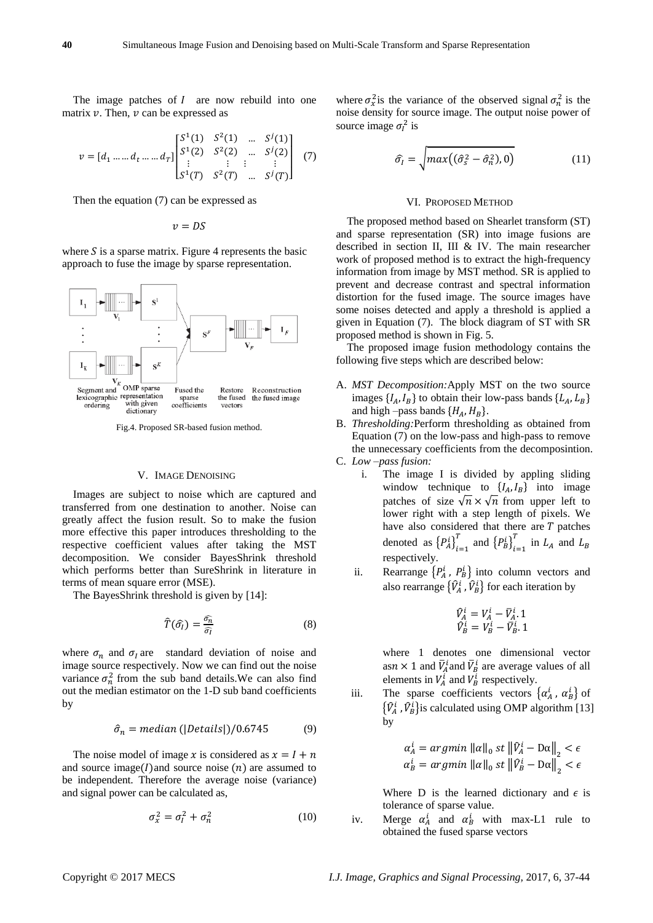The image patches of  $I$  are now rebuild into one matrix  $v$ . Then,  $v$  can be expressed as

$$
v = [d_1 \dots d_t \dots d_T] \begin{bmatrix} S^1(1) & S^2(1) & \dots & S^j(1) \\ S^1(2) & S^2(2) & \dots & S^j(2) \\ \vdots & \vdots & \vdots & \vdots \\ S^1(T) & S^2(T) & \dots & S^j(T) \end{bmatrix} \tag{7}
$$

Then the equation (7) can be expressed as

$$
v=DS
$$

where  $S$  is a sparse matrix. Figure 4 represents the basic approach to fuse the image by sparse representation.



Fig.4. Proposed SR-based fusion method.

### V. IMAGE DENOISING

Images are subject to noise which are captured and transferred from one destination to another. Noise can greatly affect the fusion result. So to make the fusion more effective this paper introduces thresholding to the respective coefficient values after taking the MST decomposition. We consider BayesShrink threshold which performs better than SureShrink in literature in terms of mean square error (MSE).

The BayesShrink threshold is given by [14]:

$$
\widehat{T}(\widehat{\sigma}_I) = \frac{\widehat{\sigma}_n}{\widehat{\sigma}_I} \tag{8}
$$

where  $\sigma_n$  and  $\sigma_l$  are standard deviation of noise and image source respectively. Now we can find out the noise variance  $\sigma_n^2$  from the sub band details. We can also find out the median estimator on the 1-D sub band coefficients by

$$
\hat{\sigma}_n = median(|Details|)/0.6745 \tag{9}
$$

The noise model of image x is considered as  $x = I + n$ and source image( $I$ ) and source noise  $(n)$  are assumed to be independent. Therefore the average noise (variance) and signal power can be calculated as,

$$
\sigma_x^2 = \sigma_l^2 + \sigma_n^2 \tag{10}
$$

where  $\sigma_x^2$  is the variance of the observed signal  $\sigma_n^2$  is the noise density for source image. The output noise power of source image  $\sigma_l^2$  is

$$
\widehat{\sigma}_l = \sqrt{max((\widehat{\sigma}_s^2 - \widehat{\sigma}_n^2), 0)}
$$
(11)

#### VI. PROPOSED METHOD

The proposed method based on Shearlet transform (ST) and sparse representation (SR) into image fusions are described in section II, III & IV. The main researcher work of proposed method is to extract the high-frequency information from image by MST method. SR is applied to prevent and decrease contrast and spectral information distortion for the fused image. The source images have some noises detected and apply a threshold is applied a given in Equation (7). The block diagram of ST with SR proposed method is shown in Fig. 5.

The proposed image fusion methodology contains the following five steps which are described below:

- A. *MST Decomposition:*Apply MST on the two source images  $\{I_A, I_B\}$  to obtain their low-pass bands  $\{L_A, L_B\}$ and high –pass bands  $\{H_A, H_B\}$ .
- B. *Thresholding:*Perform thresholding as obtained from Equation (7) on the low-pass and high-pass to remove the unnecessary coefficients from the decomposintion.

C. *Low –pass fusion:*

- i. The image I is divided by appling sliding window technique to  $\{I_A, I_B\}$  into image patches of size  $\sqrt{n} \times \sqrt{n}$  from upper left to lower right with a step length of pixels. We have also considered that there are  $T$  patches denoted as  $\left\{P_A^i\right\}_{i=1}^T$  $_{i=1}^{T}$  and  ${P_B^i}_{i=1}^{T}$  $\sum_{i=1}^{T}$  in  $L_A$  and  $L_B$ respectively.
- ii. Rearrange  $\{P_A^i, P_B^i\}$  into column vectors and also rearrange  $\{\hat{V}_A^i, \hat{V}_B^i\}$  for each iteration by

$$
\begin{array}{c}\n\hat{V}_A^i = V_A^i - \bar{V}_A^i. 1 \\
\hat{V}_B^i = V_B^i - \bar{V}_B^i. 1\n\end{array}
$$

where 1 denotes one dimensional vector as  $n \times 1$  and  $\overline{V}_A^i$  and  $\overline{V}_B^i$  are average values of all elements in  $V_A^i$  and  $V_B^i$  respectively.

iii. The sparse coefficients vectors  $\{\alpha_A^i, \alpha_B^i\}$  of  $\{\hat{V}_A^i, \hat{V}_B^i\}$  is calculated using OMP algorithm [13] by

$$
\alpha_A^i = \operatorname{argmin} \|\alpha\|_0 \text{ st } \left\|\hat{V}_A^i - \text{D}\alpha\right\|_2 < \epsilon
$$
\n
$$
\alpha_B^i = \operatorname{argmin} \|\alpha\|_0 \text{ st } \left\|\hat{V}_B^i - \text{D}\alpha\right\|_2 < \epsilon
$$

Where D is the learned dictionary and  $\epsilon$  is tolerance of sparse value.

iv. Merge  $\alpha_A^i$  and  $\alpha_B^i$  with max-L1 rule to obtained the fused sparse vectors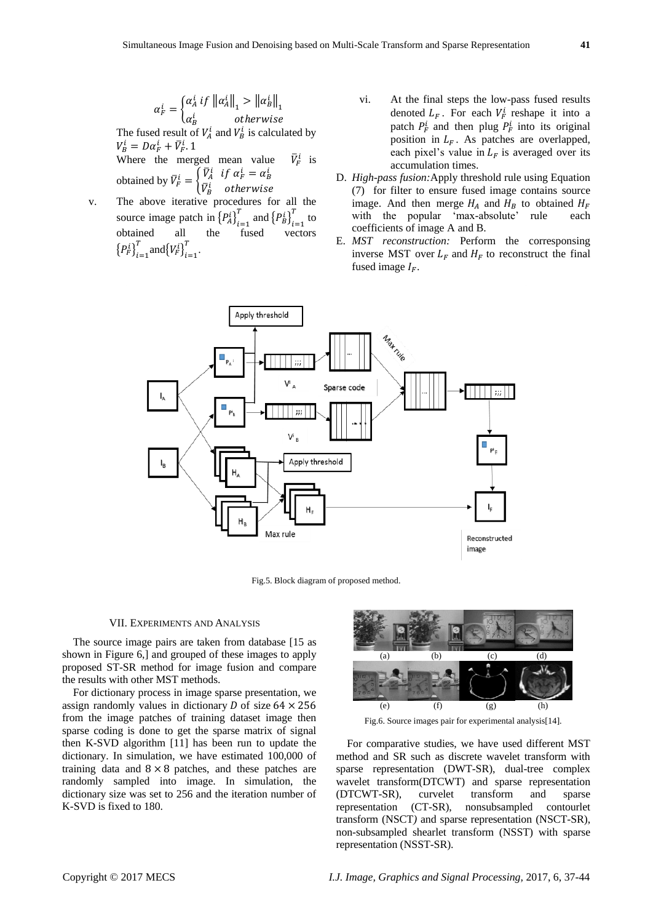$$
\alpha_F^i = \begin{cases} \alpha_A^i & \text{if } \left\| \alpha_A^i \right\|_1 > \left\| \alpha_B^i \right\|_1 \\ \alpha_B^i & \text{otherwise} \end{cases}
$$

The fused result of  $V_A^i$  and  $V_B^i$  is calculated by  $V_B^i = D\alpha_F^i + \bar{V}_F^i$ . 1 Where the merged mean value F  $\frac{i}{r}$  is

obtained by  $\overline{V}_F^i = \begin{cases} \overline{V}_A^i & \text{if } \alpha_F^i = \alpha_B^i \\ \overline{V}_A^i & \text{otherwise} \end{cases}$  $\bar{V}^i_B$  otherwise

- v. The above iterative procedures for all the source image patch in  ${P_A^i\}_{i=1}^T$  $_{i=1}^{T}$  and  ${P_B^i}_{i=1}^{T}$  $\int_{t=1}^{T}$  to obtained all the fused vectors  ${P_F^i\}_{i=1}^T$  $_{i=1}^{T}$  and  $\{V_{F}^{i}\}_{i=1}^{T}$  $\frac{T}{1-r}$ .
- vi. At the final steps the low-pass fused results denoted  $L_F$ . For each  $V_F^i$  reshape it into a patch  $P_F^i$  and then plug  $P_F^i$  into its original position in  $L_F$ . As patches are overlapped, each pixel's value in  $L_F$  is averaged over its accumulation times.
- D. *High-pass fusion:*Apply threshold rule using Equation (7) for filter to ensure fused image contains source image. And then merge  $H_A$  and  $H_B$  to obtained  $H_F$ with the popular 'max-absolute' rule each coefficients of image A and B.
- E. *MST reconstruction:* Perform the corresponsing inverse MST over  $L_F$  and  $H_F$  to reconstruct the final fused image  $I_F$ .



Fig.5. Block diagram of proposed method.

#### VII. EXPERIMENTS AND ANALYSIS

The source image pairs are taken from database [15 as shown in Figure 6,] and grouped of these images to apply proposed ST-SR method for image fusion and compare the results with other MST methods.

For dictionary process in image sparse presentation, we assign randomly values in dictionary  $D$  of size  $64 \times 256$ from the image patches of training dataset image then sparse coding is done to get the sparse matrix of signal then K-SVD algorithm [11] has been run to update the dictionary. In simulation, we have estimated 100,000 of training data and  $8 \times 8$  patches, and these patches are randomly sampled into image. In simulation, the dictionary size was set to 256 and the iteration number of K-SVD is fixed to 180.



Fig.6. Source images pair for experimental analysis[14].

For comparative studies, we have used different MST method and SR such as discrete wavelet transform with sparse representation (DWT-SR), dual-tree complex wavelet transform(DTCWT) and sparse representation (DTCWT-SR), curvelet transform and sparse representation (CT-SR), nonsubsampled contourlet transform (NSCT*)* and sparse representation (NSCT-SR), non-subsampled shearlet transform (NSST) with sparse representation (NSST-SR).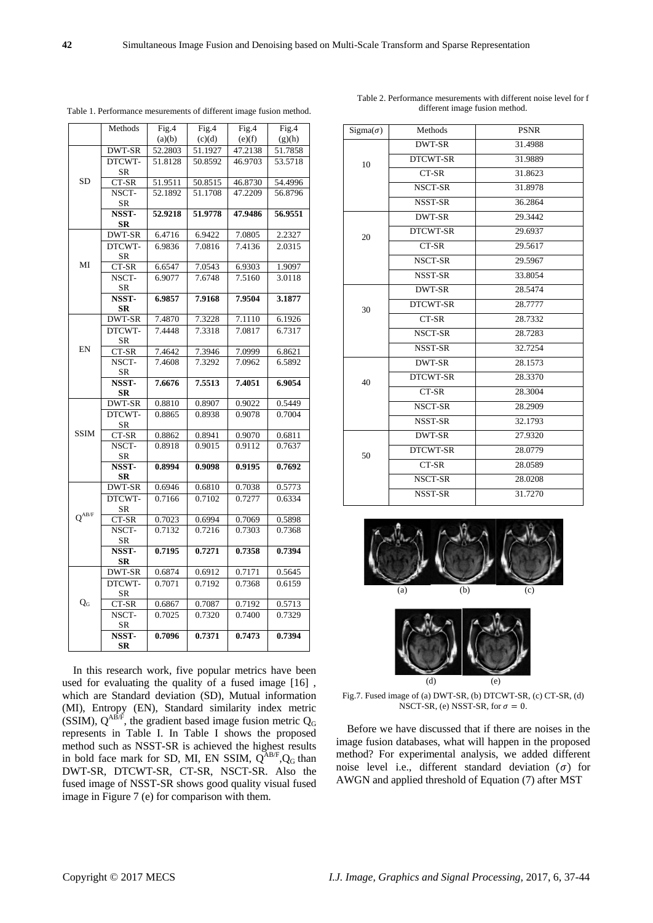| $C_{\text{conv}}$ akt $\otimes$ 0017 MECS |  |  |
|-------------------------------------------|--|--|

MI SR CT-SR 6.6547 7.0543 6.9303 1.9097 NSCT-SR 6.9077 7.6748 7.5160 3.0118 **NSST-SR 6.9857 7.9168 7.9504 3.1877** EN DWT-SR 7.4870 7.3228 7.1110 6.1926 DTCWT-SR 7.4448 7.3318 7.0817 6.7317 CT-SR 7.4642 7.3946 7.0999 6.8621 NSCT-SR 7.4608 7.3292 7.0962 6.5892 **NSST-SR 7.6676 7.5513 7.4051 6.9054** SSIM DWT-SR 0.8810 0.8907 0.9022 0.5449 DTCWT-SR 0.8865 0.8938 0.9078 0.7004 CT-SR 0.8862 0.8941 0.9070 0.6811 NSCT-SR 0.8918 0.9015 0.9112 0.7637 **NSST-SR 0.8994 0.9098 0.9195 0.7692**  $Q^{AB/F}$ DWT-SR 0.6946 0.6810 0.7038 0.5773 DTCWT-SR 0.7166 0.7102 0.7277 0.6334 CT-SR 0.7023 0.6994 0.7069 0.5898 NSCT-SR 0.7132 0.7216 0.7303 0.7368 **NSST-SR 0.7195 0.7271 0.7358 0.7394** Q<sup>G</sup> DWT-SR 0.6874 0.6912 0.7171 0.5645 DTCWT-SR 0.7071 0.7192 0.7368 0.6159 CT-SR 0.6867 0.7087 0.7192 0.5713 NSCT-SR 0.7025 0.7320 0.7400 0.7329 **NSST-SR 0.7096 0.7371 0.7473 0.7394** In this research work, five popular metrics have been

used for evaluating the quality of a fused image [16] , which are Standard deviation (SD), Mutual information (MI), Entropy (EN), Standard similarity index metric (SSIM),  $Q^{AB/F}$ , the gradient based image fusion metric  $Q_G$ represents in Table I. In Table I shows the proposed method such as NSST-SR is achieved the highest results in bold face mark for SD, MI, EN SSIM,  $Q^{AB/F}$ , Q<sub>G</sub> than DWT-SR, DTCWT-SR, CT-SR, NSCT-SR. Also the fused image of NSST-SR shows good quality visual fused

image in Figure 7 (e) for comparison with them.

|  |  |  | Table 1. Performance mesurements of different image fusion method. |  |
|--|--|--|--------------------------------------------------------------------|--|
|  |  |  |                                                                    |  |

Fig.4  $(c)(d)$ 

DWT-SR 52.2803 51.1927 47.2138 51.7858

CT-SR 51.9511 50.8515 46.8730 54.4996

DWT-SR 6.4716 6.9422 7.0805 2.2327

51.8128 50.8592 46.9703 53.5718

52.1892 51.1708 47.2209 56.8796

**52.9218 51.9778 47.9486 56.9551**

6.9836 7.0816 7.4136 2.0315

Fig.4  $(e)$ <sup>(f)</sup>

Fig.4  $(g)(h)$ 

Methods Fig.4

DTCWT-SR

> NSCT-SR

**NSST-SR**

DTCWT-

 $(a)(b)$ 

Table 2. Performance mesurements with different noise level for f different image fusion method.

| $Sigma(\sigma)$ | Methods         | <b>PSNR</b> |  |  |
|-----------------|-----------------|-------------|--|--|
| 10              | <b>DWT-SR</b>   | 31.4988     |  |  |
|                 | <b>DTCWT-SR</b> | 31.9889     |  |  |
|                 | CT-SR           | 31.8623     |  |  |
|                 | NSCT-SR         | 31.8978     |  |  |
|                 | <b>NSST-SR</b>  | 36.2864     |  |  |
| 20              | <b>DWT-SR</b>   | 29.3442     |  |  |
|                 | <b>DTCWT-SR</b> | 29.6937     |  |  |
|                 | CT-SR           | 29.5617     |  |  |
|                 | NSCT-SR         | 29.5967     |  |  |
|                 | NSST-SR         | 33.8054     |  |  |
| 30              | <b>DWT-SR</b>   | 28.5474     |  |  |
|                 | <b>DTCWT-SR</b> | 28.7777     |  |  |
|                 | CT-SR           | 28.7332     |  |  |
|                 | NSCT-SR         | 28.7283     |  |  |
|                 | <b>NSST-SR</b>  | 32.7254     |  |  |
| 40              | DWT-SR          | 28.1573     |  |  |
|                 | <b>DTCWT-SR</b> | 28.3370     |  |  |
|                 | CT-SR           | 28.3004     |  |  |
|                 | NSCT-SR         | 28.2909     |  |  |
|                 | <b>NSST-SR</b>  | 32.1793     |  |  |
| 50              | <b>DWT-SR</b>   | 27.9320     |  |  |
|                 | <b>DTCWT-SR</b> | 28.0779     |  |  |
|                 | CT-SR           | 28.0589     |  |  |
|                 | NSCT-SR         | 28.0208     |  |  |
|                 | <b>NSST-SR</b>  | 31.7270     |  |  |
|                 |                 |             |  |  |





Fig.7. Fused image of (a) DWT-SR, (b) DTCWT-SR, (c) CT-SR, (d) NSCT-SR, (e) NSST-SR, for  $\sigma = 0$ .

Before we have discussed that if there are noises in the image fusion databases, what will happen in the proposed method? For experimental analysis, we added different noise level i.e., different standard deviation  $(\sigma)$  for AWGN and applied threshold of Equation (7) after MST

SD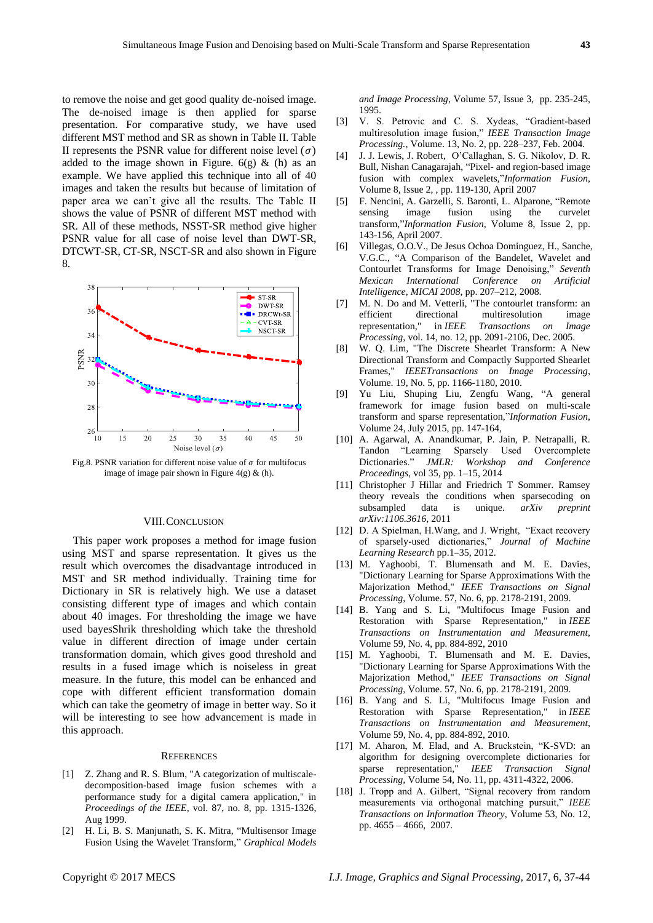to remove the noise and get good quality de-noised image. The de-noised image is then applied for sparse presentation. For comparative study, we have used different MST method and SR as shown in Table II. Table II represents the PSNR value for different noise level  $(\sigma)$ added to the image shown in Figure.  $6(g)$  & (h) as an example. We have applied this technique into all of 40 images and taken the results but because of limitation of paper area we can't give all the results. The Table II shows the value of PSNR of different MST method with SR. All of these methods, NSST-SR method give higher PSNR value for all case of noise level than DWT-SR, DTCWT-SR, CT-SR, NSCT-SR and also shown in Figure 8.



Fig.8. PSNR variation for different noise value of  $\sigma$  for multifocus image of image pair shown in Figure 4(g) & (h).

### VIII.CONCLUSION

This paper work proposes a method for image fusion using MST and sparse representation. It gives us the result which overcomes the disadvantage introduced in MST and SR method individually. Training time for Dictionary in SR is relatively high. We use a dataset consisting different type of images and which contain about 40 images. For thresholding the image we have used bayesShrik thresholding which take the threshold value in different direction of image under certain transformation domain, which gives good threshold and results in a fused image which is noiseless in great measure. In the future, this model can be enhanced and cope with different efficient transformation domain which can take the geometry of image in better way. So it will be interesting to see how advancement is made in this approach.

#### **REFERENCES**

- [1] Z. Zhang and R. S. Blum, "A categorization of multiscaledecomposition-based image fusion schemes with a performance study for a digital camera application," in *Proceedings of the IEEE*, vol. 87, no. 8, pp. 1315-1326, Aug 1999.
- [2] H. Li, B. S. Manjunath, S. K. Mitra, "Multisensor Image Fusion Using the Wavelet Transform," *Graphical Models*

*and Image Processing*, Volume 57, Issue 3, pp. 235-245, 1995.

- [3] V. S. Petrovic and C. S. Xydeas, "Gradient-based multiresolution image fusion," *IEEE Transaction Image Processing.*, Volume. 13, No. 2, pp. 228–237, Feb. 2004.
- [4] J. J. Lewis, J. Robert, O'Callaghan, S. G. Nikolov, D. R. Bull, Nishan Canagarajah, "Pixel- and region-based image fusion with complex wavelets,"*Information Fusion*, Volume 8, Issue 2, , pp. 119-130, April 2007
- [5] F. Nencini, A. Garzelli, S. Baronti, L. Alparone, "Remote sensing image fusion using the curvelet transform,"*Information Fusion*, Volume 8, Issue 2, pp. 143-156, April 2007.
- [6] Villegas, O.O.V., De Jesus Ochoa Dominguez, H., Sanche, V.G.C., "A Comparison of the Bandelet, Wavelet and Contourlet Transforms for Image Denoising," *Seventh Mexican International Conference on Artificial Intelligence, MICAI 2008*, pp. 207–212, 2008.
- [7] M. N. Do and M. Vetterli, "The contourlet transform: an efficient directional multiresolution image representation," in *IEEE Transactions on Image Processing*, vol. 14, no. 12, pp. 2091-2106, Dec. 2005.
- [8] W. Q. Lim, "The Discrete Shearlet Transform: A New Directional Transform and Compactly Supported Shearlet Frames," *IEEETransactions on Image Processing*, Volume. 19, No. 5, pp. 1166-1180, 2010.
- [9] Yu Liu, Shuping Liu, Zengfu Wang, "A general framework for image fusion based on multi-scale transform and sparse representation,"*Information Fusion*, Volume 24, July 2015, pp. 147-164,
- [10] A. Agarwal, A. Anandkumar, P. Jain, P. Netrapalli, R. Tandon "Learning Sparsely Used Overcomplete<br>Dictionaries." JMLR: Workshop and Conference Dictionaries." *JMLR: Proceedings*, vol 35, pp. 1–15, 2014
- [11] Christopher J Hillar and Friedrich T Sommer. Ramsey theory reveals the conditions when sparsecoding on subsampled data is unique. *arXiv preprint arXiv:1106.3616*, 2011
- [12] D. A Spielman, H.Wang, and J. Wright, "Exact recovery of sparsely-used dictionaries," *Journal of Machine Learning Research* pp.1–35, 2012.
- [13] M. Yaghoobi, T. Blumensath and M. E. Davies, "Dictionary Learning for Sparse Approximations With the Majorization Method," *IEEE Transactions on Signal Processing*, Volume. 57, No. 6, pp. 2178-2191, 2009.
- [14] B. Yang and S. Li, "Multifocus Image Fusion and Restoration with Sparse Representation," in *IEEE Transactions on Instrumentation and Measurement*, Volume 59, No. 4, pp. 884-892, 2010
- [15] M. Yaghoobi, T. Blumensath and M. E. Davies, "Dictionary Learning for Sparse Approximations With the Majorization Method," *IEEE Transactions on Signal Processing*, Volume. 57, No. 6, pp. 2178-2191, 2009.
- [16] B. Yang and S. Li, "Multifocus Image Fusion and Restoration with Sparse Representation," in *IEEE Transactions on Instrumentation and Measurement*, Volume 59, No. 4, pp. 884-892, 2010.
- [17] M. Aharon, M. Elad, and A. Bruckstein, "K-SVD: an algorithm for designing overcomplete dictionaries for sparse representation," *IEEE Transaction Signal Processing,* Volume 54, No. 11, pp. 4311-4322, 2006.
- [18] J. Tropp and A. Gilbert, "Signal recovery from random measurements via orthogonal matching pursuit," *IEEE Transactions on Information Theory,* Volume 53, No. 12, pp. 4655 – 4666, 2007.